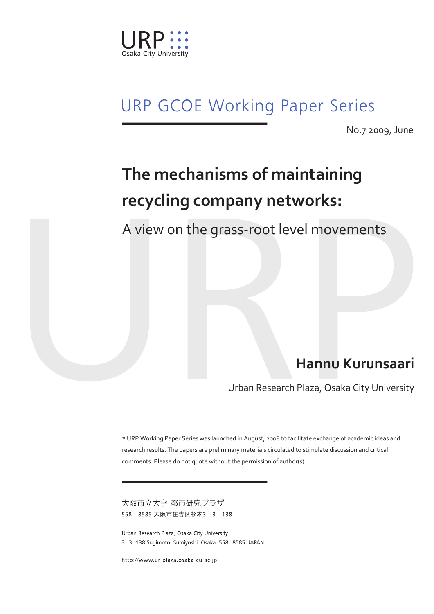

## **URP GCOE Working Paper Series**

No.7 2009, June

# **The mechanisms of maintaining recycling company networks:**

A view on the grass-root level movements

## **Hannu Kurunsaari**

Urban Research Plaza, Osaka City University

\* URP Working Paper Series was launched in August, 2008 to facilitate exchange of academic ideas and research results. The papers are preliminary materials circulated to stimulate discussion and critical comments. Please do not quote without the permission of author(s).

大阪市立大学 都市研究プラザ 558-8585 大阪市住吉区杉本3-3-138

Urban Research Plaza, Osaka City University 3-3-138 Sugimoto Sumiyoshi Osaka 558-8585 JAPAN

http://www.ur-plaza.osaka-cu.ac.jp